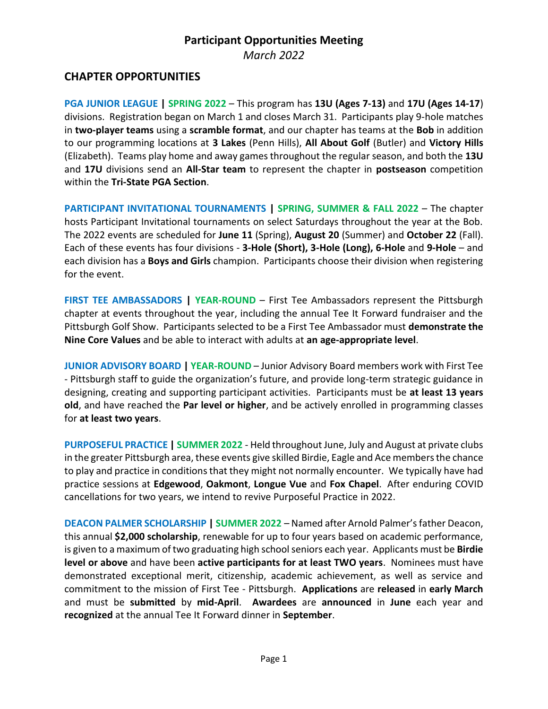## **CHAPTER OPPORTUNITIES**

**PGA JUNIOR LEAGUE | SPRING 2022** – This program has **13U (Ages 7-13)** and **17U (Ages 14-17**) divisions. Registration began on March 1 and closes March 31. Participants play 9-hole matches in **two-player teams** using a **scramble format**, and our chapter has teams at the **Bob** in addition to our programming locations at **3 Lakes** (Penn Hills), **All About Golf** (Butler) and **Victory Hills** (Elizabeth). Teams play home and away games throughout the regular season, and both the **13U**  and **17U** divisions send an **All-Star team** to represent the chapter in **postseason** competition within the **Tri-State PGA Section**.

**PARTICIPANT INVITATIONAL TOURNAMENTS | SPRING, SUMMER & FALL 2022** – The chapter hosts Participant Invitational tournaments on select Saturdays throughout the year at the Bob. The 2022 events are scheduled for **June 11** (Spring), **August 20** (Summer) and **October 22** (Fall). Each of these events has four divisions - **3-Hole (Short), 3-Hole (Long), 6-Hole** and **9-Hole** – and each division has a **Boys and Girls** champion. Participants choose their division when registering for the event.

**FIRST TEE AMBASSADORS | YEAR-ROUND** – First Tee Ambassadors represent the Pittsburgh chapter at events throughout the year, including the annual Tee It Forward fundraiser and the Pittsburgh Golf Show. Participants selected to be a First Tee Ambassador must **demonstrate the Nine Core Values** and be able to interact with adults at **an age-appropriate level**.

**JUNIOR ADVISORY BOARD | YEAR-ROUND** – Junior Advisory Board members work with First Tee - Pittsburgh staff to guide the organization's future, and provide long-term strategic guidance in designing, creating and supporting participant activities. Participants must be **at least 13 years old**, and have reached the **Par level or higher**, and be actively enrolled in programming classes for **at least two years**.

**PURPOSEFUL PRACTICE | SUMMER 2022** - Held throughout June, July and August at private clubs in the greater Pittsburgh area, these events give skilled Birdie, Eagle and Ace members the chance to play and practice in conditions that they might not normally encounter. We typically have had practice sessions at **Edgewood**, **Oakmont**, **Longue Vue** and **Fox Chapel**. After enduring COVID cancellations for two years, we intend to revive Purposeful Practice in 2022.

**DEACON PALMER SCHOLARSHIP | SUMMER 2022** – Named after Arnold Palmer's father Deacon, this annual **\$2,000 scholarship**, renewable for up to four years based on academic performance, is given to a maximum of two graduating high school seniors each year. Applicants must be **Birdie level or above** and have been **active participants for at least TWO years**. Nominees must have demonstrated exceptional merit, citizenship, academic achievement, as well as service and commitment to the mission of First Tee - Pittsburgh. **Applications** are **released** in **early March** and must be **submitted** by **mid-April**. **Awardees** are **announced** in **June** each year and **recognized** at the annual Tee It Forward dinner in **September**.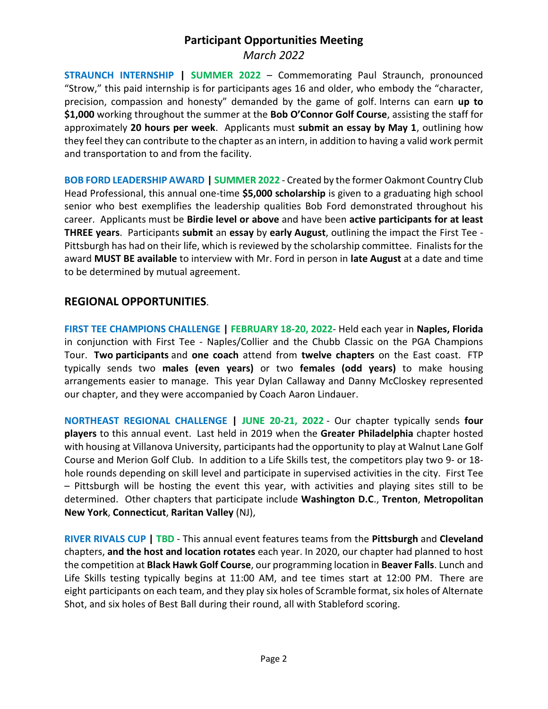**STRAUNCH INTERNSHIP | SUMMER 2022** – Commemorating Paul Straunch, pronounced "Strow," this paid internship is for participants ages 16 and older, who embody the "character, precision, compassion and honesty" demanded by the game of golf. Interns can earn **up to \$1,000** working throughout the summer at the **Bob O'Connor Golf Course**, assisting the staff for approximately **20 hours per week**. Applicants must **submit an essay by May 1**, outlining how they feel they can contribute to the chapter as an intern, in addition to having a valid work permit and transportation to and from the facility.

**BOB FORD LEADERSHIP AWARD | SUMMER 2022** - Created by the former Oakmont Country Club Head Professional, this annual one-time **\$5,000 scholarship** is given to a graduating high school senior who best exemplifies the leadership qualities Bob Ford demonstrated throughout his career. Applicants must be **Birdie level or above** and have been **active participants for at least THREE years**. Participants **submit** an **essay** by **early August**, outlining the impact the First Tee - Pittsburgh has had on their life, which is reviewed by the scholarship committee. Finalists for the award **MUST BE available** to interview with Mr. Ford in person in **late August** at a date and time to be determined by mutual agreement.

### **REGIONAL OPPORTUNITIES**.

**FIRST TEE CHAMPIONS CHALLENGE | FEBRUARY 18-20, 2022**- Held each year in **Naples, Florida** in conjunction with First Tee - Naples/Collier and the Chubb Classic on the PGA Champions Tour. **Two participants** and **one coach** attend from **twelve chapters** on the East coast. FTP typically sends two **males (even years)** or two **females (odd years)** to make housing arrangements easier to manage. This year Dylan Callaway and Danny McCloskey represented our chapter, and they were accompanied by Coach Aaron Lindauer.

**NORTHEAST REGIONAL CHALLENGE | JUNE 20-21, 2022** - Our chapter typically sends **four players** to this annual event. Last held in 2019 when the **Greater Philadelphia** chapter hosted with housing at Villanova University, participants had the opportunity to play at Walnut Lane Golf Course and Merion Golf Club. In addition to a Life Skills test, the competitors play two 9- or 18 hole rounds depending on skill level and participate in supervised activities in the city. First Tee – Pittsburgh will be hosting the event this year, with activities and playing sites still to be determined. Other chapters that participate include **Washington D.C**., **Trenton**, **Metropolitan New York**, **Connecticut**, **Raritan Valley** (NJ),

**RIVER RIVALS CUP | TBD** - This annual event features teams from the **Pittsburgh** and **Cleveland** chapters, **and the host and location rotates** each year. In 2020, our chapter had planned to host the competition at **Black Hawk Golf Course**, our programming location in **Beaver Falls**. Lunch and Life Skills testing typically begins at 11:00 AM, and tee times start at 12:00 PM. There are eight participants on each team, and they play six holes of Scramble format, six holes of Alternate Shot, and six holes of Best Ball during their round, all with Stableford scoring.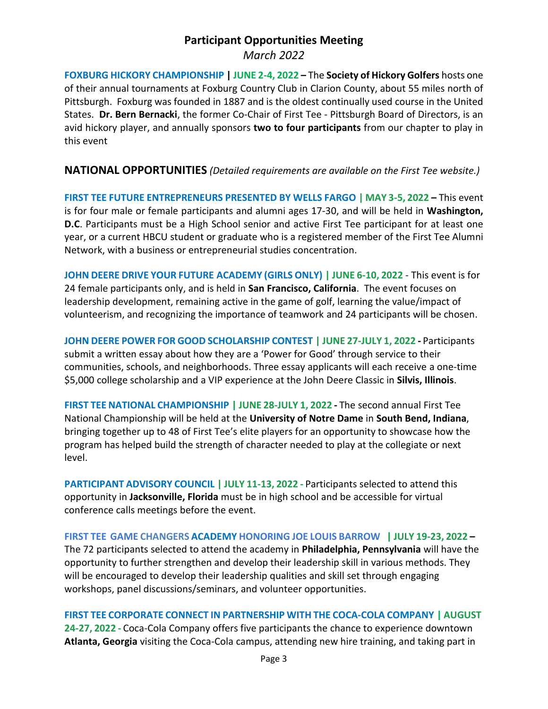**FOXBURG HICKORY CHAMPIONSHIP | JUNE 2-4, 2022 –** The **Society of Hickory Golfers** hosts one of their annual tournaments at Foxburg Country Club in Clarion County, about 55 miles north of Pittsburgh. Foxburg was founded in 1887 and is the oldest continually used course in the United States. **Dr. Bern Bernacki**, the former Co-Chair of First Tee - Pittsburgh Board of Directors, is an avid hickory player, and annually sponsors **two to four participants** from our chapter to play in this event

#### **NATIONAL OPPORTUNITIES** *(Detailed requirements are available on the First Tee website.)*

**FIRST TEE FUTURE ENTREPRENEURS PRESENTED BY WELLS FARGO | MAY 3-5, 2022 –** This event is for four male or female participants and alumni ages 17-30, and will be held in **Washington, D.C**. Participants must be a High School senior and active First Tee participant for at least one year, or a current HBCU student or graduate who is a registered member of the First Tee Alumni Network, with a business or entrepreneurial studies concentration.

**JOHN DEERE DRIVE YOUR FUTURE [ACADEMY](https://firsttee.org/programs/youth-opportunities/john-deere-leadership-academy/) (GIRLS ONLY) | JUNE 6-10, 2022** - This event is for 24 female participants only, and is held in **San Francisco, California**. The event focuses on leadership development, remaining active in the game of golf, learning the value/impact of volunteerism, and recognizing the importance of teamwork and 24 participants will be chosen.

**JOHN DEERE POWER FOR GOOD [SCHOLARSHIP](https://firsttee.org/programs/youth-opportunities/john-deere-power-good-scholarship/) CONTEST | JUNE 27-JULY 1, 2022 -** Participants submit a written essay about how they are a 'Power for Good' through service to their communities, schools, and neighborhoods. Three essay applicants will each receive a one-time \$5,000 college scholarship and a VIP experience at the John Deere Classic in **Silvis, Illinois**.

**FIRST TEE NATIONAL [CHAMPIONSHIP](https://firsttee.org/programs/youth-opportunities/first-tee-national-championship/) | JUNE 28-JULY 1, 2022 -** The second annual First Tee National Championship will be held at the **University of Notre Dame** in **South Bend, Indiana**, bringing together up to 48 of First Tee's elite players for an opportunity to showcase how the program has helped build the strength of character needed to play at the collegiate or next level.

**PARTICIPANT ADVISORY COUNCIL | JULY 11-13, 2022 -** Participants selected to attend this opportunity in **Jacksonville, Florida** must be in high school and be accessible for virtual conference calls meetings before the event.

**FIRST TEE GAME CHANGERS [ACADEMY](https://firsttee.org/programs/youth-opportunities/life-skills-leadership-academy/) HONORING JOE LOUIS BARROW | JULY 19-23, 2022 –** The 72 participants selected to attend the academy in **Philadelphia, Pennsylvania** will have the opportunity to further strengthen and develop their leadership skill in various methods. They will be encouraged to develop their leadership qualities and skill set through engaging workshops, panel discussions/seminars, and volunteer opportunities.

**FIRST TEE CORPORATE CONNECT IN PARTNERSHIP WITH THE COCA-COLA COMPANY | AUGUST 24-27, 2022 -** Coca-Cola Company offers five participants the chance to experience downtown **Atlanta, Georgia** visiting the Coca-Cola campus, attending new hire training, and taking part in